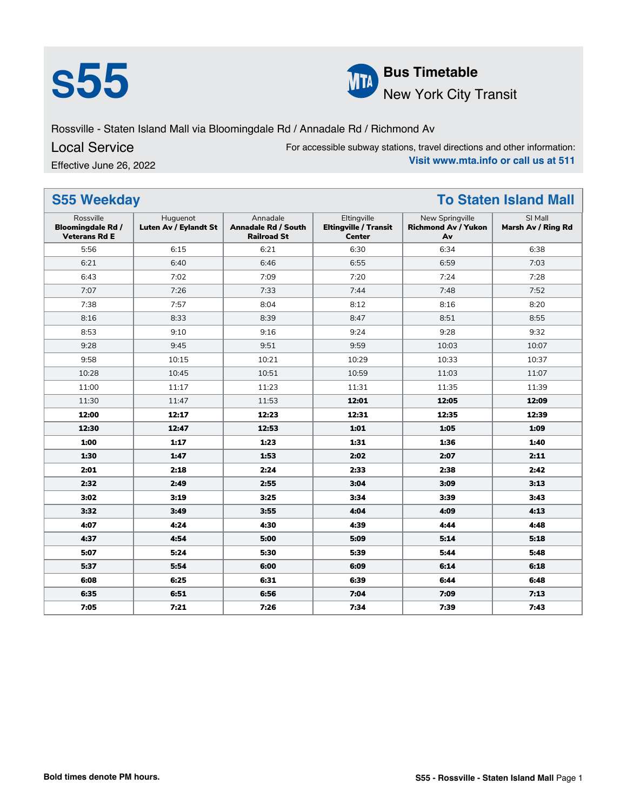



Rossville - Staten Island Mall via Bloomingdale Rd / Annadale Rd / Richmond Av

Local Service

Effective June 26, 2022

For accessible subway stations, travel directions and other information: **Visit www.mta.info or call us at 511**

| <b>S55 Weekday</b><br><b>To Staten Island Mall</b>            |                                   |                                                              |                                                              |                                                     |                               |  |
|---------------------------------------------------------------|-----------------------------------|--------------------------------------------------------------|--------------------------------------------------------------|-----------------------------------------------------|-------------------------------|--|
| Rossville<br><b>Bloomingdale Rd /</b><br><b>Veterans Rd E</b> | Huguenot<br>Luten Av / Eylandt St | Annadale<br><b>Annadale Rd / South</b><br><b>Railroad St</b> | Eltingville<br><b>Eltingville / Transit</b><br><b>Center</b> | New Springville<br><b>Richmond Av / Yukon</b><br>Av | SI Mall<br>Marsh Av / Ring Rd |  |
| 5:56                                                          | 6:15                              | 6:21                                                         | 6:30                                                         | 6:34                                                | 6:38                          |  |
| 6:21                                                          | 6:40                              | 6:46                                                         | 6:55                                                         | 6:59                                                | 7:03                          |  |
| 6:43                                                          | 7:02                              | 7:09                                                         | 7:20                                                         | 7:24                                                | 7:28                          |  |
| 7:07                                                          | 7:26                              | 7:33                                                         | 7:44                                                         | 7:48                                                | 7:52                          |  |
| 7:38                                                          | 7:57                              | 8:04                                                         | 8:12                                                         | 8:16                                                | 8:20                          |  |
| 8:16                                                          | 8:33                              | 8:39                                                         | 8:47                                                         | 8:51                                                | 8:55                          |  |
| 8:53                                                          | 9:10                              | 9:16                                                         | 9:24                                                         | 9:28                                                | 9:32                          |  |
| 9:28                                                          | 9:45                              | 9:51                                                         | 9:59                                                         | 10:03                                               | 10:07                         |  |
| 9:58                                                          | 10:15                             | 10:21                                                        | 10:29                                                        | 10:33                                               | 10:37                         |  |
| 10:28                                                         | 10:45                             | 10:51                                                        | 10:59                                                        | 11:03                                               | 11:07                         |  |
| 11:00                                                         | 11:17                             | 11:23                                                        | 11:31                                                        | 11:35                                               | 11:39                         |  |
| 11:30                                                         | 11:47                             | 11:53                                                        | 12:01                                                        | 12:05                                               | 12:09                         |  |
| 12:00                                                         | 12:17                             | 12:23                                                        | 12:31                                                        | 12:35                                               | 12:39                         |  |
| 12:30                                                         | 12:47                             | 12:53                                                        | 1:01                                                         | 1:05                                                | 1:09                          |  |
| 1:00                                                          | 1:17                              | 1:23                                                         | 1:31                                                         | 1:36                                                | 1:40                          |  |
| 1:30                                                          | 1:47                              | 1:53                                                         | 2:02                                                         | 2:07                                                | 2:11                          |  |
| 2:01                                                          | 2:18                              | 2:24                                                         | 2:33                                                         | 2:38                                                | 2:42                          |  |
| 2:32                                                          | 2:49                              | 2:55                                                         | 3:04                                                         | 3:09                                                | 3:13                          |  |
| 3:02                                                          | 3:19                              | 3:25                                                         | 3:34                                                         | 3:39                                                | 3:43                          |  |
| 3:32                                                          | 3:49                              | 3:55                                                         | 4:04                                                         | 4:09                                                | 4:13                          |  |
| 4:07                                                          | 4:24                              | 4:30                                                         | 4:39                                                         | 4:44                                                | 4:48                          |  |
| 4:37                                                          | 4:54                              | 5:00                                                         | 5:09                                                         | 5:14                                                | 5:18                          |  |
| 5:07                                                          | 5:24                              | 5:30                                                         | 5:39                                                         | 5:44                                                | 5:48                          |  |
| 5:37                                                          | 5:54                              | 6:00                                                         | 6:09                                                         | 6:14                                                | 6:18                          |  |
| 6:08                                                          | 6:25                              | 6:31                                                         | 6:39                                                         | 6:44                                                | 6:48                          |  |
| 6:35                                                          | 6:51                              | 6:56                                                         | 7:04                                                         | 7:09                                                | 7:13                          |  |
| 7:05                                                          | 7:21                              | 7:26                                                         | 7:34                                                         | 7:39                                                | 7:43                          |  |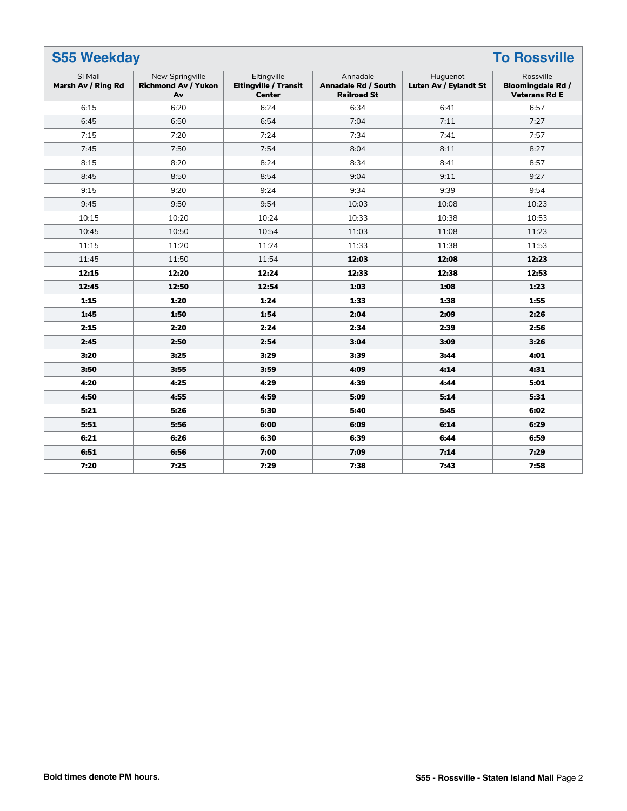| <b>S55 Weekday</b><br><b>To Rossville</b> |                                                     |                                                              |                                                              |                                   |                                                              |  |
|-------------------------------------------|-----------------------------------------------------|--------------------------------------------------------------|--------------------------------------------------------------|-----------------------------------|--------------------------------------------------------------|--|
| SI Mall<br>Marsh Av / Ring Rd             | New Springville<br><b>Richmond Av / Yukon</b><br>Av | Eltingville<br><b>Eltingville / Transit</b><br><b>Center</b> | Annadale<br><b>Annadale Rd / South</b><br><b>Railroad St</b> | Huguenot<br>Luten Av / Eylandt St | Rossville<br><b>Bloomingdale Rd/</b><br><b>Veterans Rd E</b> |  |
| 6:15                                      | 6:20                                                | 6:24                                                         | 6:34                                                         | 6:41                              | 6:57                                                         |  |
| 6:45                                      | 6:50                                                | 6:54                                                         | 7:04                                                         | 7:11                              | 7:27                                                         |  |
| 7:15                                      | 7:20                                                | 7:24                                                         | 7:34                                                         | 7:41                              | 7:57                                                         |  |
| 7:45                                      | 7:50                                                | 7:54                                                         | 8:04                                                         | 8:11                              | 8:27                                                         |  |
| 8:15                                      | 8:20                                                | 8:24                                                         | 8:34                                                         | 8:41                              | 8:57                                                         |  |
| 8:45                                      | 8:50                                                | 8:54                                                         | 9:04                                                         | 9:11                              | 9:27                                                         |  |
| 9:15                                      | 9:20                                                | 9:24                                                         | 9:34                                                         | 9:39                              | 9:54                                                         |  |
| 9:45                                      | 9:50                                                | 9:54                                                         | 10:03                                                        | 10:08                             | 10:23                                                        |  |
| 10:15                                     | 10:20                                               | 10:24                                                        | 10:33                                                        | 10:38                             | 10:53                                                        |  |
| 10:45                                     | 10:50                                               | 10:54                                                        | 11:03                                                        | 11:08                             | 11:23                                                        |  |
| 11:15                                     | 11:20                                               | 11:24                                                        | 11:33                                                        | 11:38                             | 11:53                                                        |  |
| 11:45                                     | 11:50                                               | 11:54                                                        | 12:03                                                        | 12:08                             | 12:23                                                        |  |
| 12:15                                     | 12:20                                               | 12:24                                                        | 12:33                                                        | 12:38                             | 12:53                                                        |  |
| 12:45                                     | 12:50                                               | 12:54                                                        | 1:03                                                         | 1:08                              | 1:23                                                         |  |
| 1:15                                      | 1:20                                                | 1:24                                                         | 1:33                                                         | 1:38                              | 1:55                                                         |  |
| 1:45                                      | 1:50                                                | 1:54                                                         | 2:04                                                         | 2:09                              | 2:26                                                         |  |
| 2:15                                      | 2:20                                                | 2:24                                                         | 2:34                                                         | 2:39                              | 2:56                                                         |  |
| 2:45                                      | 2:50                                                | 2:54                                                         | 3:04                                                         | 3:09                              | 3:26                                                         |  |
| 3:20                                      | 3:25                                                | 3:29                                                         | 3:39                                                         | 3:44                              | 4:01                                                         |  |
| 3:50                                      | 3:55                                                | 3:59                                                         | 4:09                                                         | 4:14                              | 4:31                                                         |  |
| 4:20                                      | 4:25                                                | 4:29                                                         | 4:39                                                         | 4:44                              | 5:01                                                         |  |
| 4:50                                      | 4:55                                                | 4:59                                                         | 5:09                                                         | 5:14                              | 5:31                                                         |  |
| 5:21                                      | 5:26                                                | 5:30                                                         | 5:40                                                         | 5:45                              | 6:02                                                         |  |
| 5:51                                      | 5:56                                                | 6:00                                                         | 6:09                                                         | 6:14                              | 6:29                                                         |  |
| 6:21                                      | 6:26                                                | 6:30                                                         | 6:39                                                         | 6:44                              | 6:59                                                         |  |
| 6:51                                      | 6:56                                                | 7:00                                                         | 7:09                                                         | 7:14                              | 7:29                                                         |  |
| 7:20                                      | 7:25                                                | 7:29                                                         | 7:38                                                         | 7:43                              | 7:58                                                         |  |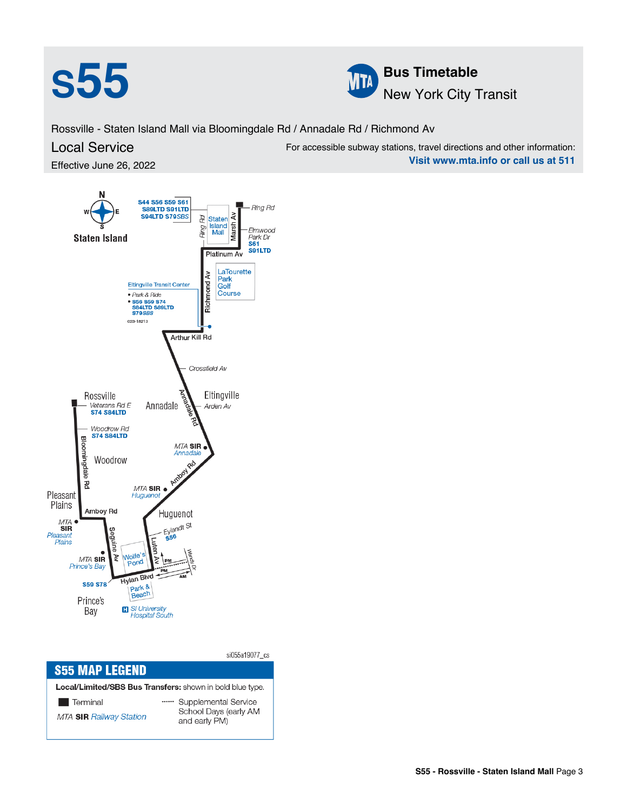



For accessible subway stations, travel directions and other information:

**Visit www.mta.info or call us at 511**

Rossville - Staten Island Mall via Bloomingdale Rd / Annadale Rd / Richmond Av

## Local Service

Effective June 26, 2022



|                                                           | si055a19077 cs                         |  |  |  |  |  |
|-----------------------------------------------------------|----------------------------------------|--|--|--|--|--|
| <b>S55 MAP LEGEND</b>                                     |                                        |  |  |  |  |  |
| Local/Limited/SBS Bus Transfers: shown in bold blue type. |                                        |  |  |  |  |  |
| <b>Terminal</b>                                           | Supplemental Service                   |  |  |  |  |  |
| <b>MTA SIR Railway Station</b>                            | School Days (early AM<br>and early PM) |  |  |  |  |  |
|                                                           |                                        |  |  |  |  |  |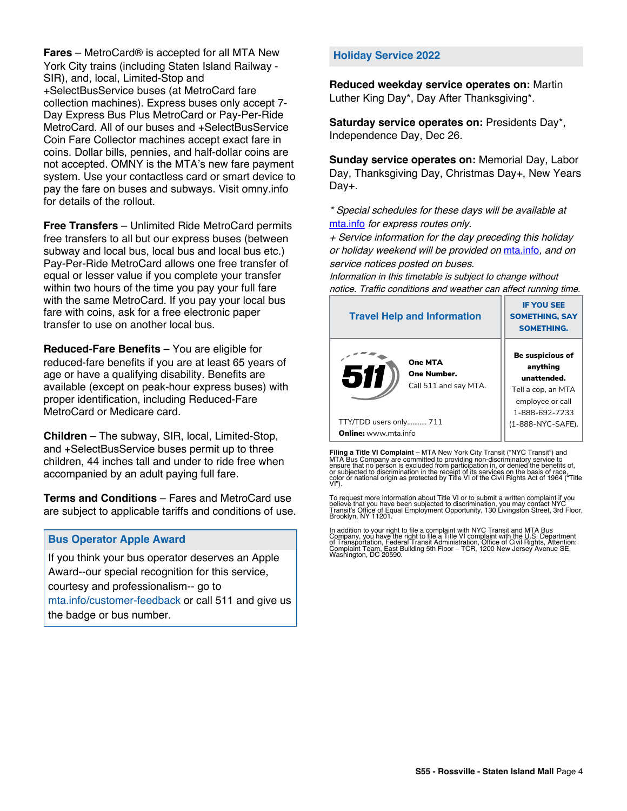**Fares** – MetroCard® is accepted for all MTA New York City trains (including Staten Island Railway - SIR), and, local, Limited-Stop and +SelectBusService buses (at MetroCard fare collection machines). Express buses only accept 7- Day Express Bus Plus MetroCard or Pay-Per-Ride MetroCard. All of our buses and +SelectBusService Coin Fare Collector machines accept exact fare in coins. Dollar bills, pennies, and half-dollar coins are not accepted. OMNY is the MTA's new fare payment system. Use your contactless card or smart device to pay the fare on buses and subways. Visit omny.info for details of the rollout.

**Free Transfers** – Unlimited Ride MetroCard permits free transfers to all but our express buses (between subway and local bus, local bus and local bus etc.) Pay-Per-Ride MetroCard allows one free transfer of equal or lesser value if you complete your transfer within two hours of the time you pay your full fare with the same MetroCard. If you pay your local bus fare with coins, ask for a free electronic paper transfer to use on another local bus.

**Reduced-Fare Benefits** – You are eligible for reduced-fare benefits if you are at least 65 years of age or have a qualifying disability. Benefits are available (except on peak-hour express buses) with proper identification, including Reduced-Fare MetroCard or Medicare card.

**Children** – The subway, SIR, local, Limited-Stop, and +SelectBusService buses permit up to three children, 44 inches tall and under to ride free when accompanied by an adult paying full fare.

**Terms and Conditions** – Fares and MetroCard use are subject to applicable tariffs and conditions of use.

## **Bus Operator Apple Award**

If you think your bus operator deserves an Apple Award--our special recognition for this service, courtesy and professionalism-- go to mta.info/customer-feedback or call 511 and give us the badge or bus number.

## **Holiday Service 2022**

**Reduced weekday service operates on:** Martin Luther King Day\*, Day After Thanksgiving\*.

**Saturday service operates on:** Presidents Day\*, Independence Day, Dec 26.

**Sunday service operates on:** Memorial Day, Labor Day, Thanksgiving Day, Christmas Day+, New Years Day+.

\* Special schedules for these days will be available at [mta.info](https://new.mta.info/) for express routes only.

+ Service information for the day preceding this holiday or holiday weekend will be provided on [mta.info](https://new.mta.info/), and on service notices posted on buses.

Information in this timetable is subject to change without notice. Traffic conditions and weather can affect running time.

| <b>Travel Help and Information</b>                     | <b>IF YOU SEE</b><br><b>SOMETHING, SAY</b><br><b>SOMETHING.</b>                                         |  |
|--------------------------------------------------------|---------------------------------------------------------------------------------------------------------|--|
| One MTA<br>511<br>One Number.<br>Call 511 and say MTA. | Be suspicious of<br>anything<br>unattended.<br>Tell a cop, an MTA<br>employee or call<br>1-888-692-7233 |  |
| TTY/TDD users only 711                                 | (1-888-NYC-SAFE).                                                                                       |  |
| <b>Online:</b> www.mta.info                            |                                                                                                         |  |

**Filing a Title VI Complaint** – MTA New York City Transit ("NYC Transit") and<br>MTA Bus Company are committed to providing non-discriminatory service to<br>ensure that no person is excluded from participation in, or denied the

To request more information about Title VI or to submit a written complaint if you believe that you have been subjected to discrimination, you may contact NYC<br>Transit's Office of Equal Employment Opportunity, 130 Livingston Street, 3rd Floor,<br>Brooklyn, NY 11201.

In addition to your right to file a complaint with NYC Transit and MTA Bus<br>Company, you have the right to file a Title VI complaint with the U.S. Department<br>of Transportation, Federal Transit Administration, Office of Civi